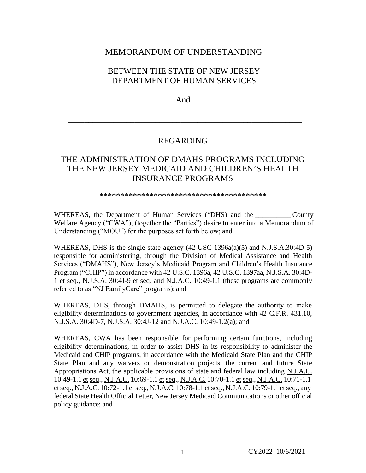## MEMORANDUM OF UNDERSTANDING

# BETWEEN THE STATE OF NEW JERSEY DEPARTMENT OF HUMAN SERVICES

And

# REGARDING

\_\_\_\_\_\_\_\_\_\_\_\_\_\_\_\_\_\_\_\_\_\_\_\_\_\_\_\_\_\_\_\_\_\_\_\_\_\_\_\_\_\_\_\_\_\_\_\_\_\_\_\_\_\_\_\_

# THE ADMINISTRATION OF DMAHS PROGRAMS INCLUDING THE NEW JERSEY MEDICAID AND CHILDREN'S HEALTH INSURANCE PROGRAMS

\*\*\*\*\*\*\*\*\*\*\*\*\*\*\*\*\*\*\*\*\*\*\*\*\*\*\*\*\*\*\*\*\*\*\*\*\*\*\*\*

WHEREAS, the Department of Human Services ("DHS) and the \_\_\_\_\_\_\_\_\_\_\_ County Welfare Agency ("CWA"), (together the "Parties") desire to enter into a Memorandum of Understanding ("MOU") for the purposes set forth below; and

WHEREAS, DHS is the single state agency (42 USC 1396a(a)(5) and N.J.S.A.30:4D-5) responsible for administering, through the Division of Medical Assistance and Health Services ("DMAHS"), New Jersey's Medicaid Program and Children's Health Insurance Program ("CHIP") in accordance with 42 U.S.C. 1396a, 42 U.S.C. 1397aa, N.J.S.A. 30:4D-1 et seq., N.J.S.A. 30:4J-9 et seq. and N.J.A.C. 10:49-1.1 (these programs are commonly referred to as "NJ FamilyCare" programs); and

WHEREAS, DHS, through DMAHS, is permitted to delegate the authority to make eligibility determinations to government agencies, in accordance with 42 C.F.R. 431.10, N.J.S.A. 30:4D-7, N.J.S.A. 30:4J-12 and N.J.A.C. 10:49-1.2(a); and

WHEREAS, CWA has been responsible for performing certain functions, including eligibility determinations, in order to assist DHS in its responsibility to administer the Medicaid and CHIP programs, in accordance with the Medicaid State Plan and the CHIP State Plan and any waivers or demonstration projects, the current and future State Appropriations Act, the applicable provisions of state and federal law including N.J.A.C. 10:49-1.1 et seq., N.J.A.C. 10:69-1.1 et seq., N.J.A.C. 10:70-1.1 et seq., N.J.A.C. 10:71-1.1 etseq., N.J.A.C. 10:72-1.1 etseq., N.J.A.C. 10:78-1.1 etseq., N.J.A.C. 10:79-1.1 etseq., any federal State Health Official Letter, New Jersey Medicaid Communications or other official policy guidance; and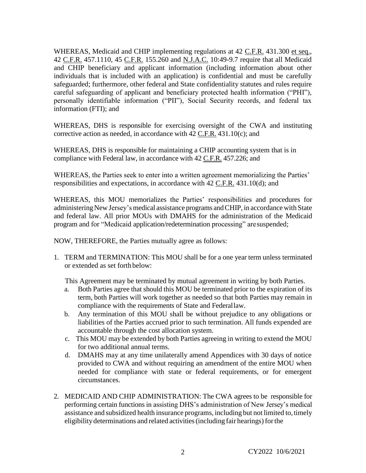WHEREAS, Medicaid and CHIP implementing regulations at 42 C.F.R. 431.300 et seq., 42 C.F.R. 457.1110, 45 C.F.R. 155.260 and N.J.A.C. 10:49-9.7 require that all Medicaid and CHIP beneficiary and applicant information (including information about other individuals that is included with an application) is confidential and must be carefully safeguarded; furthermore, other federal and State confidentiality statutes and rules require careful safeguarding of applicant and beneficiary protected health information ("PHI"), personally identifiable information ("PII"), Social Security records, and federal tax information (FTI); and

WHEREAS, DHS is responsible for exercising oversight of the CWA and instituting corrective action as needed, in accordance with 42 C.F.R. 431.10(c); and

WHEREAS, DHS is responsible for maintaining a CHIP accounting system that is in compliance with Federal law, in accordance with 42 C.F.R. 457.226; and

WHEREAS, the Parties seek to enter into a written agreement memorializing the Parties' responsibilities and expectations, in accordance with 42 C.F.R. 431.10(d); and

WHEREAS, this MOU memorializes the Parties' responsibilities and procedures for administering New Jersey's medical assistance programs and CHIP, in accordance with State and federal law. All prior MOUs with DMAHS for the administration of the Medicaid program and for "Medicaid application/redetermination processing" aresuspended;

NOW, THEREFORE, the Parties mutually agree as follows:

1. TERM and TERMINATION: This MOU shall be for a one year term unless terminated or extended as set forth below:

This Agreement may be terminated by mutual agreement in writing by both Parties.

- a. Both Parties agree that should this MOU be terminated prior to the expiration of its term, both Parties will work together as needed so that both Parties may remain in compliance with the requirements of State and Federallaw.
- b. Any termination of this MOU shall be without prejudice to any obligations or liabilities of the Parties accrued prior to such termination. All funds expended are accountable through the cost allocation system.
- c. This MOU may be extended by both Parties agreeing in writing to extend the MOU for two additional annual terms.
- d. DMAHS may at any time unilaterally amend Appendices with 30 days of notice provided to CWA and without requiring an amendment of the entire MOU when needed for compliance with state or federal requirements, or for emergent circumstances.
- 2. MEDICAID AND CHIP ADMINISTRATION: The CWA agrees to be responsible for performing certain functions in assisting DHS's administration of New Jersey's medical assistance and subsidized health insurance programs, including but not limited to,timely eligibility determinations and related activities (including fair hearings) for the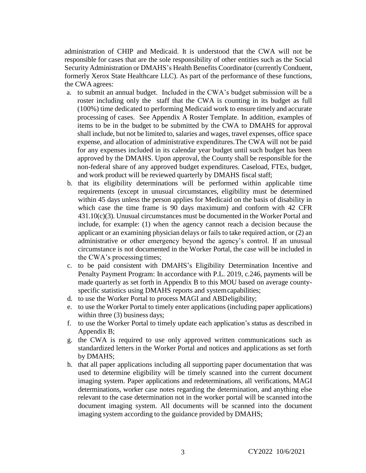administration of CHIP and Medicaid. It is understood that the CWA will not be responsible for cases that are the sole responsibility of other entities such as the Social Security Administration or DMAHS's Health Benefits Coordinator (currently Conduent, formerly Xerox State Healthcare LLC). As part of the performance of these functions, the CWA agrees:

- a. to submit an annual budget. Included in the CWA's budget submission will be a roster including only the staff that the CWA is counting in its budget as full (100%) time dedicated to performing Medicaid work to ensure timely and accurate processing of cases. See Appendix A Roster Template. In addition, examples of items to be in the budget to be submitted by the CWA to DMAHS for approval shall include, but not be limited to, salaries and wages, travel expenses, office space expense, and allocation of administrative expenditures.The CWA will not be paid for any expenses included in its calendar year budget until such budget has been approved by the DMAHS. Upon approval, the County shall be responsible for the non-federal share of any approved budget expenditures. Caseload, FTEs, budget, and work product will be reviewed quarterly by DMAHS fiscal staff;
- b. that its eligibility determinations will be performed within applicable time requirements (except in unusual circumstances, eligibility must be determined within 45 days unless the person applies for Medicaid on the basis of disability in which case the time frame is 90 days maximum) and conform with 42 CFR 431.10(c)(3). Unusual circumstances must be documented in the Worker Portal and include, for example: (1) when the agency cannot reach a decision because the applicant or an examining physician delays or fails to take required action, or (2) an administrative or other emergency beyond the agency's control. If an unusual circumstance is not documented in the Worker Portal, the case will be included in the CWA's processing times;
- c. to be paid consistent with DMAHS's Eligibility Determination Incentive and Penalty Payment Program: In accordance with P.L. 2019, c.246, payments will be made quarterly as set forth in Appendix B to this MOU based on average countyspecific statistics using DMAHS reports and systemcapabilities;
- d. to use the Worker Portal to process MAGI and ABDeligibility;
- e. to use the Worker Portal to timely enter applications (including paper applications) within three (3) business days;
- f. to use the Worker Portal to timely update each application's status as described in Appendix B;
- g. the CWA is required to use only approved written communications such as standardized letters in the Worker Portal and notices and applications as set forth by DMAHS;
- h. that all paper applications including all supporting paper documentation that was used to determine eligibility will be timely scanned into the current document imaging system. Paper applications and redeterminations, all verifications, MAGI determinations, worker case notes regarding the determination, and anything else relevant to the case determination not in the worker portal will be scanned intothe document imaging system. All documents will be scanned into the document imaging system according to the guidance provided by DMAHS;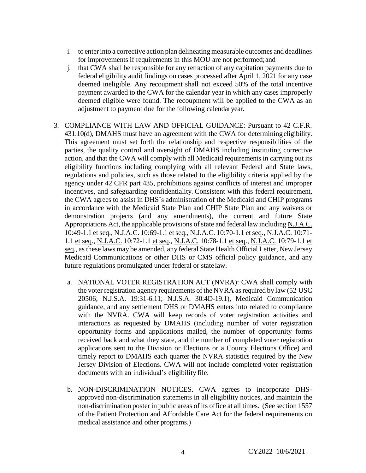- i. to enterinto a corrective action plan delineatingmeasurable outcomes and deadlines for improvements if requirements in this MOU are not performed;and
- j. that CWA shall be responsible for any retraction of any capitation payments due to federal eligibility audit findings on cases processed after April 1, 2021 for any case deemed ineligible. Any recoupment shall not exceed 50% of the total incentive payment awarded to the CWA for the calendar year in which any cases improperly deemed eligible were found. The recoupment will be applied to the CWA as an adjustment to payment due for the following calendaryear.
- 3. COMPLIANCE WITH LAW AND OFFICIAL GUIDANCE: Pursuant to 42 C.F.R. 431.10(d), DMAHS must have an agreement with the CWA for determiningeligibility. This agreement must set forth the relationship and respective responsibilities of the parties, the quality control and oversight of DMAHS including instituting corrective action, and that the CWA will comply with all Medicaid requirements in carrying out its eligibility functions including complying with all relevant Federal and State laws, regulations and policies, such as those related to the eligibility criteria applied by the agency under 42 CFR part 435, prohibitions against conflicts of interest and improper incentives, and safeguarding confidentiality. Consistent with this federal requirement, the CWA agrees to assist in DHS's administration of the Medicaid and CHIP programs in accordance with the Medicaid State Plan and CHIP State Plan and any waivers or demonstration projects (and any amendments), the current and future State Appropriations Act, the applicable provisions of state and federal law including N.J.A.C. 10:49-1.1 et seq., N.J.A.C. 10:69-1.1 etseq., N.J.A.C. 10:70-1.1 etseq., N.J.A.C. 10:71- 1.1 et seq., N.J.A.C. 10:72-1.1 et seq., N.J.A.C. 10:78-1.1 et seq., N.J.A.C. 10:79-1.1 et seq., as these laws may be amended, any federal State Health Official Letter, New Jersey Medicaid Communications or other DHS or CMS official policy guidance, and any future regulations promulgated under federal or statelaw.
	- a. NATIONAL VOTER REGISTRATION ACT (NVRA): CWA shall comply with the voter registration agency requirements of the NVRA asrequired by law (52 USC 20506; N.J.S.A. 19:31-6.11; N.J.S.A. 30:4D-19.1), Medicaid Communication guidance, and any settlement DHS or DMAHS enters into related to compliance with the NVRA. CWA will keep records of voter registration activities and interactions as requested by DMAHS (including number of voter registration opportunity forms and applications mailed, the number of opportunity forms received back and what they state, and the number of completed voter registration applications sent to the Division or Elections or a County Elections Office) and timely report to DMAHS each quarter the NVRA statistics required by the New Jersey Division of Elections. CWA will not include completed voter registration documents with an individual's eligibility file.
	- b. NON-DISCRIMINATION NOTICES. CWA agrees to incorporate DHSapproved non-discrimination statements in all eligibility notices, and maintain the non-discrimination poster in public areas of its office at all times. (See section 1557 of the Patient Protection and Affordable Care Act for the federal requirements on medical assistance and other programs.)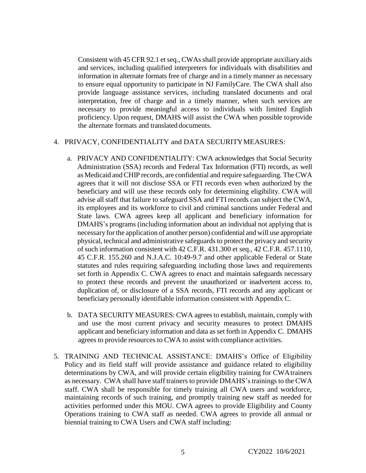Consistent with 45 CFR 92.1 et seq., CWAs shall provide appropriate auxiliary aids and services, including qualified interpreters for individuals with disabilities and information in alternate formats free of charge and in a timely manner as necessary to ensure equal opportunity to participate in NJ FamilyCare. The CWA shall also provide language assistance services, including translated documents and oral interpretation, free of charge and in a timely manner, when such services are necessary to provide meaningful access to individuals with limited English proficiency. Upon request, DMAHS will assist the CWA when possible toprovide the alternate formats and translated documents.

### 4. PRIVACY, CONFIDENTIALITY and DATA SECURITYMEASURES:

- a. PRIVACY AND CONFIDENTIALITY: CWA acknowledges that Social Security Administration (SSA) records and Federal Tax Information (FTI) records, as well as Medicaid and CHIP records, are confidential and require safeguarding. TheCWA agrees that it will not disclose SSA or FTI records even when authorized by the beneficiary and will use these records only for determining eligibility. CWA will advise all staff that failure to safeguard SSA and FTI records can subject the CWA, its employees and its workforce to civil and criminal sanctions under Federal and State laws. CWA agrees keep all applicant and beneficiary information for DMAHS's programs (including information about an individual not applying that is necessary forthe application of another person) confidential and will use appropriate physical, technical and administrative safeguards to protect the privacy and security of such information consistent with 42 C.F.R. 431.300 et seq., 42 C.F.R. 457.1110, 45 C.F.R. 155.260 and N.J.A.C. 10:49-9.7 and other applicable Federal or State statutes and rules requiring safeguarding including those laws and requirements set forth in Appendix C. CWA agrees to enact and maintain safeguards necessary to protect these records and prevent the unauthorized or inadvertent access to, duplication of, or disclosure of a SSA records, FTI records and any applicant or beneficiary personally identifiable information consistent with Appendix C.
- b. DATA SECURITY MEASURES: CWA agrees to establish, maintain, comply with and use the most current privacy and security measures to protect DMAHS applicant and beneficiary information and data as set forth in Appendix C. DMAHS agrees to provide resources to CWA to assist with compliance activities.
- 5. TRAINING AND TECHNICAL ASSISTANCE: DMAHS's Office of Eligibility Policy and its field staff will provide assistance and guidance related to eligibility determinations by CWA, and will provide certain eligibility training for CWAtrainers as necessary. CWA shall have staff trainers to provide DMAHS's trainings to the CWA staff. CWA shall be responsible for timely training all CWA users and workforce, maintaining records of such training, and promptly training new staff as needed for activities performed under this MOU. CWA agrees to provide Eligibility and County Operations training to CWA staff as needed. CWA agrees to provide all annual or biennial training to CWA Users and CWA staff including: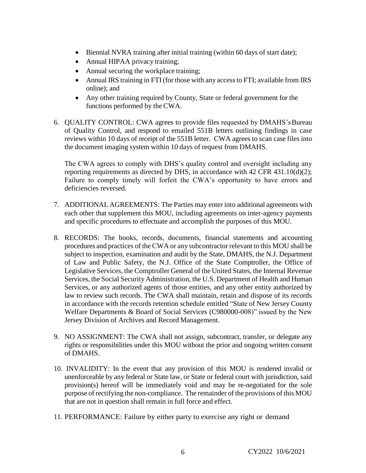- Biennial NVRA training after initial training (within 60 days of start date);
- Annual HIPAA privacy training;
- Annual securing the workplace training;
- Annual IRS training in FTI (for those with any access to FTI; available from IRS online); and
- Any other training required by County, State or federal government for the functions performed by the CWA.
- 6. QUALITY CONTROL: CWA agrees to provide files requested by DMAHS'sBureau of Quality Control, and respond to emailed 551B letters outlining findings in case reviews within 10 days of receipt of the 551B letter. CWA agrees to scan case files into the document imaging system within 10 days of request from DMAHS.

The CWA agrees to comply with DHS's quality control and oversight including any reporting requirements as directed by DHS, in accordance with 42 CFR 431.10(d)(2); Failure to comply timely will forfeit the CWA's opportunity to have errors and deficiencies reversed.

- 7. ADDITIONAL AGREEMENTS: The Parties may enter into additional agreements with each other that supplement this MOU, including agreements on inter-agency payments and specific procedures to effectuate and accomplish the purposes of this MOU.
- 8. RECORDS: The books, records, documents, financial statements and accounting procedures and practices of the CWA or any subcontractor relevant to this MOU shall be subject to inspection, examination and audit by the State, DMAHS, the N.J. Department of Law and Public Safety, the N.J. Office of the State Comptroller, the Office of Legislative Services, the Comptroller General of the United States, the Internal Revenue Services, the Social Security Administration, the U.S. Department of Health and Human Services, or any authorized agents of those entities, and any other entity authorized by law to review such records. The CWA shall maintain, retain and dispose of its records in accordance with the records retention schedule entitled "State of New Jersey County Welfare Departments & Board of Social Services (C980000-008)" issued by the New Jersey Division of Archives and Record Management.
- 9. NO ASSIGNMENT: The CWA shall not assign, subcontract, transfer, or delegate any rights or responsibilities under this MOU without the prior and ongoing written consent of DMAHS.
- 10. INVALIDITY: In the event that any provision of this MOU is rendered invalid or unenforceable by any federal or State law, or State or federal court with jurisdiction, said provision(s) hereof will be immediately void and may be re-negotiated for the sole purpose of rectifying the non-compliance. The remainder of the provisions of this MOU that are not in question shall remain in full force and effect.
- 11. PERFORMANCE: Failure by either party to exercise any right or demand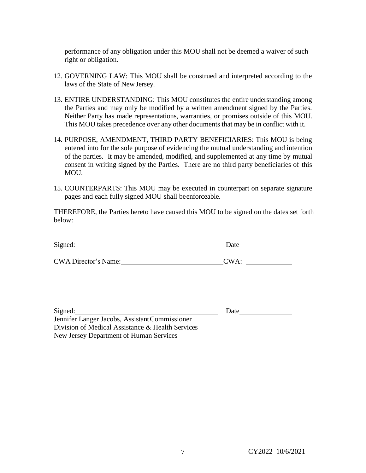performance of any obligation under this MOU shall not be deemed a waiver of such right or obligation.

- 12. GOVERNING LAW: This MOU shall be construed and interpreted according to the laws of the State of New Jersey.
- 13. ENTIRE UNDERSTANDING: This MOU constitutes the entire understanding among the Parties and may only be modified by a written amendment signed by the Parties. Neither Party has made representations, warranties, or promises outside of this MOU. This MOU takes precedence over any other documents that may be in conflict with it.
- 14. PURPOSE, AMENDMENT, THIRD PARTY BENEFICIARIES: This MOU is being entered into for the sole purpose of evidencing the mutual understanding and intention of the parties. It may be amended, modified, and supplemented at any time by mutual consent in writing signed by the Parties. There are no third party beneficiaries of this MOU.
- 15. COUNTERPARTS: This MOU may be executed in counterpart on separate signature pages and each fully signed MOU shall beenforceable.

THEREFORE, the Parties hereto have caused this MOU to be signed on the dates set forth below:

| Signed:                     | Date |
|-----------------------------|------|
| <b>CWA Director's Name:</b> | CWA: |

| Signed:                                          | Date |  |
|--------------------------------------------------|------|--|
| Jennifer Langer Jacobs, Assistant Commissioner   |      |  |
| Division of Medical Assistance & Health Services |      |  |
| New Jersey Department of Human Services          |      |  |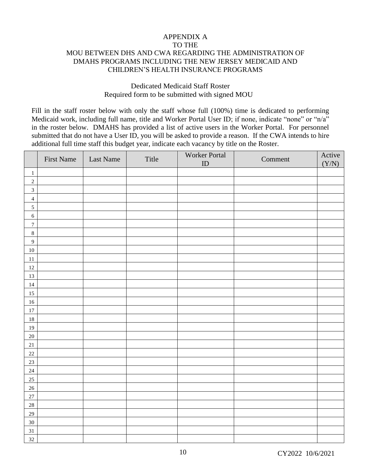## APPENDIX A TO THE MOU BETWEEN DHS AND CWA REGARDING THE ADMINISTRATION OF DMAHS PROGRAMS INCLUDING THE NEW JERSEY MEDICAID AND CHILDREN'S HEALTH INSURANCE PROGRAMS

### Dedicated Medicaid Staff Roster Required form to be submitted with signed MOU

Fill in the staff roster below with only the staff whose full (100%) time is dedicated to performing Medicaid work, including full name, title and Worker Portal User ID; if none, indicate "none" or "n/a" in the roster below. DMAHS has provided a list of active users in the Worker Portal. For personnel submitted that do not have a User ID, you will be asked to provide a reason. If the CWA intends to hire additional full time staff this budget year, indicate each vacancy by title on the Roster.

|                  | <b>First Name</b> | Last Name | Title | <b>Worker Portal</b><br>ID | Comment | Active<br>(Y/N) |
|------------------|-------------------|-----------|-------|----------------------------|---------|-----------------|
| $\,1\,$          |                   |           |       |                            |         |                 |
| $\sqrt{2}$       |                   |           |       |                            |         |                 |
| $\overline{3}$   |                   |           |       |                            |         |                 |
| $\overline{4}$   |                   |           |       |                            |         |                 |
| $\sqrt{5}$       |                   |           |       |                            |         |                 |
| $\sqrt{6}$       |                   |           |       |                            |         |                 |
| $\boldsymbol{7}$ |                   |           |       |                            |         |                 |
| $\,8\,$          |                   |           |       |                            |         |                 |
| $\overline{9}$   |                   |           |       |                            |         |                 |
| $10\,$           |                   |           |       |                            |         |                 |
| $11\,$           |                   |           |       |                            |         |                 |
| 12               |                   |           |       |                            |         |                 |
| 13               |                   |           |       |                            |         |                 |
| $14\,$           |                   |           |       |                            |         |                 |
| $15\,$           |                   |           |       |                            |         |                 |
| 16               |                   |           |       |                            |         |                 |
| 17               |                   |           |       |                            |         |                 |
| $18\,$           |                   |           |       |                            |         |                 |
| 19               |                   |           |       |                            |         |                 |
| $20\,$           |                   |           |       |                            |         |                 |
| 21               |                   |           |       |                            |         |                 |
| 22               |                   |           |       |                            |         |                 |
| $23\,$           |                   |           |       |                            |         |                 |
| $24\,$           |                   |           |       |                            |         |                 |
| $25\,$           |                   |           |       |                            |         |                 |
| 26               |                   |           |       |                            |         |                 |
| $27\,$           |                   |           |       |                            |         |                 |
| $28\,$           |                   |           |       |                            |         |                 |
| 29               |                   |           |       |                            |         |                 |
| $30\,$           |                   |           |       |                            |         |                 |
| $31\,$           |                   |           |       |                            |         |                 |
| 32               |                   |           |       |                            |         |                 |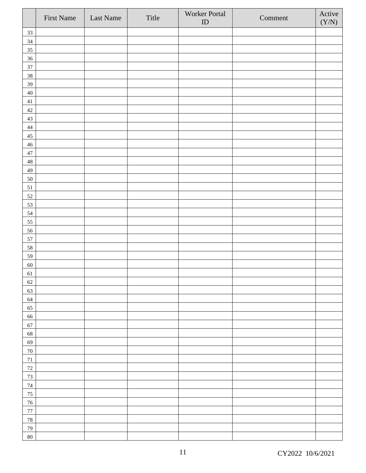|             | First Name | Last Name | Title | Worker Portal<br>${\rm ID}$ | Comment | Active<br>(Y/N) |
|-------------|------------|-----------|-------|-----------------------------|---------|-----------------|
| 33          |            |           |       |                             |         |                 |
| 34          |            |           |       |                             |         |                 |
| 35          |            |           |       |                             |         |                 |
| 36          |            |           |       |                             |         |                 |
| 37          |            |           |       |                             |         |                 |
| 38          |            |           |       |                             |         |                 |
| 39          |            |           |       |                             |         |                 |
| $40\,$      |            |           |       |                             |         |                 |
| 41          |            |           |       |                             |         |                 |
| $42\,$      |            |           |       |                             |         |                 |
| $43\,$      |            |           |       |                             |         |                 |
| 44          |            |           |       |                             |         |                 |
| $45\,$      |            |           |       |                             |         |                 |
| $46\,$      |            |           |       |                             |         |                 |
| $47\,$      |            |           |       |                             |         |                 |
| $\sqrt{48}$ |            |           |       |                             |         |                 |
| 49          |            |           |       |                             |         |                 |
| $50\,$      |            |           |       |                             |         |                 |
| 51          |            |           |       |                             |         |                 |
| 52          |            |           |       |                             |         |                 |
| 53          |            |           |       |                             |         |                 |
| 54          |            |           |       |                             |         |                 |
| 55          |            |           |       |                             |         |                 |
| 56          |            |           |       |                             |         |                 |
| 57          |            |           |       |                             |         |                 |
| 58          |            |           |       |                             |         |                 |
| 59          |            |           |       |                             |         |                 |
| $60\,$      |            |           |       |                             |         |                 |
| 61          |            |           |       |                             |         |                 |
| $62\,$      |            |           |       |                             |         |                 |
| 63          |            |           |       |                             |         |                 |
| 64          |            |           |       |                             |         |                 |
| 65          |            |           |       |                             |         |                 |
| 66          |            |           |       |                             |         |                 |
| 67          |            |           |       |                             |         |                 |
| 68          |            |           |       |                             |         |                 |
| 69          |            |           |       |                             |         |                 |
| $70\,$      |            |           |       |                             |         |                 |
| $71\,$      |            |           |       |                             |         |                 |
| $72\,$      |            |           |       |                             |         |                 |
| 73          |            |           |       |                             |         |                 |
| $74\,$      |            |           |       |                             |         |                 |
| $75\,$      |            |           |       |                             |         |                 |
| 76          |            |           |       |                             |         |                 |
| $77\,$      |            |           |       |                             |         |                 |
| $78\,$      |            |           |       |                             |         |                 |
| 79          |            |           |       |                             |         |                 |
| $80\,$      |            |           |       |                             |         |                 |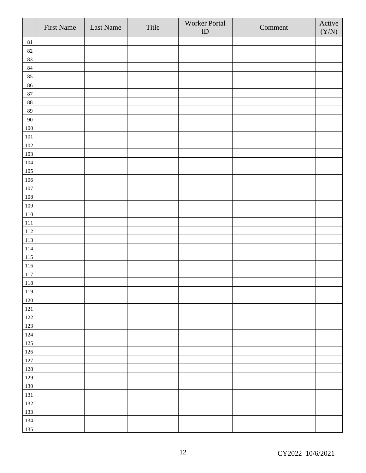|            | First Name | Last Name | Title | Worker Portal<br>${\rm ID}$ | Comment | Active<br>(Y/N) |
|------------|------------|-----------|-------|-----------------------------|---------|-----------------|
| $81\,$     |            |           |       |                             |         |                 |
| 82         |            |           |       |                             |         |                 |
| 83         |            |           |       |                             |         |                 |
| 84         |            |           |       |                             |         |                 |
| 85         |            |           |       |                             |         |                 |
| 86         |            |           |       |                             |         |                 |
| 87         |            |           |       |                             |         |                 |
| 88         |            |           |       |                             |         |                 |
| 89         |            |           |       |                             |         |                 |
| 90         |            |           |       |                             |         |                 |
| $100\,$    |            |           |       |                             |         |                 |
| 101        |            |           |       |                             |         |                 |
| 102        |            |           |       |                             |         |                 |
| 103        |            |           |       |                             |         |                 |
| 104        |            |           |       |                             |         |                 |
| 105        |            |           |       |                             |         |                 |
| $106\,$    |            |           |       |                             |         |                 |
| 107        |            |           |       |                             |         |                 |
| 108        |            |           |       |                             |         |                 |
| 109        |            |           |       |                             |         |                 |
| 110        |            |           |       |                             |         |                 |
| $111\,$    |            |           |       |                             |         |                 |
| 112        |            |           |       |                             |         |                 |
| 113        |            |           |       |                             |         |                 |
| 114        |            |           |       |                             |         |                 |
| 115        |            |           |       |                             |         |                 |
| $116\,$    |            |           |       |                             |         |                 |
| 117        |            |           |       |                             |         |                 |
| 118        |            |           |       |                             |         |                 |
| 119        |            |           |       |                             |         |                 |
| 120        |            |           |       |                             |         |                 |
| $121\,$    |            |           |       |                             |         |                 |
| 122<br>123 |            |           |       |                             |         |                 |
|            |            |           |       |                             |         |                 |
| 124<br>125 |            |           |       |                             |         |                 |
| $126\,$    |            |           |       |                             |         |                 |
| 127        |            |           |       |                             |         |                 |
| 128        |            |           |       |                             |         |                 |
| 129        |            |           |       |                             |         |                 |
| 130        |            |           |       |                             |         |                 |
| 131        |            |           |       |                             |         |                 |
| 132        |            |           |       |                             |         |                 |
| 133        |            |           |       |                             |         |                 |
| 134        |            |           |       |                             |         |                 |
| 135        |            |           |       |                             |         |                 |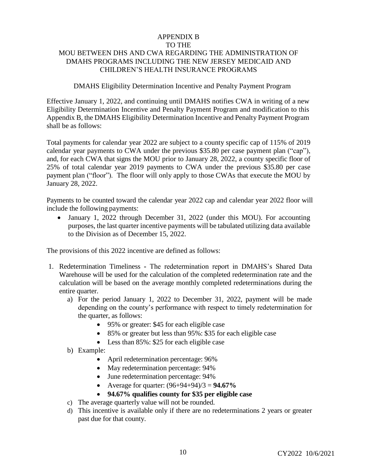## APPENDIX B TO THE MOU BETWEEN DHS AND CWA REGARDING THE ADMINISTRATION OF DMAHS PROGRAMS INCLUDING THE NEW JERSEY MEDICAID AND CHILDREN'S HEALTH INSURANCE PROGRAMS

### DMAHS Eligibility Determination Incentive and Penalty Payment Program

Effective January 1, 2022, and continuing until DMAHS notifies CWA in writing of a new Eligibility Determination Incentive and Penalty Payment Program and modification to this Appendix B, the DMAHS Eligibility Determination Incentive and Penalty Payment Program shall be as follows:

Total payments for calendar year 2022 are subject to a county specific cap of 115% of 2019 calendar year payments to CWA under the previous \$35.80 per case payment plan ("cap"), and, for each CWA that signs the MOU prior to January 28, 2022, a county specific floor of 25% of total calendar year 2019 payments to CWA under the previous \$35.80 per case payment plan ("floor"). The floor will only apply to those CWAs that execute the MOU by January 28, 2022.

Payments to be counted toward the calendar year 2022 cap and calendar year 2022 floor will include the following payments:

• January 1, 2022 through December 31, 2022 (under this MOU). For accounting purposes, the last quarter incentive payments will be tabulated utilizing data available to the Division as of December 15, 2022.

The provisions of this 2022 incentive are defined as follows:

- 1. Redetermination Timeliness **-** The redetermination report in DMAHS's Shared Data Warehouse will be used for the calculation of the completed redetermination rate and the calculation will be based on the average monthly completed redeterminations during the entire quarter.
	- a) For the period January 1, 2022 to December 31, 2022, payment will be made depending on the county's performance with respect to timely redetermination for the quarter, as follows:
		- 95% or greater: \$45 for each eligible case
		- 85% or greater but less than 95%: \$35 for each eligible case
		- Less than 85%: \$25 for each eligible case
	- b) Example:
		- April redetermination percentage: 96%
		- May redetermination percentage: 94%
		- June redetermination percentage: 94%
		- Average for quarter: (96+94+94)/3 = **94.67%**
		- **94.67% qualifies county for \$35 per eligible case**
	- c) The average quarterly value will not be rounded.
	- d) This incentive is available only if there are no redeterminations 2 years or greater past due for that county.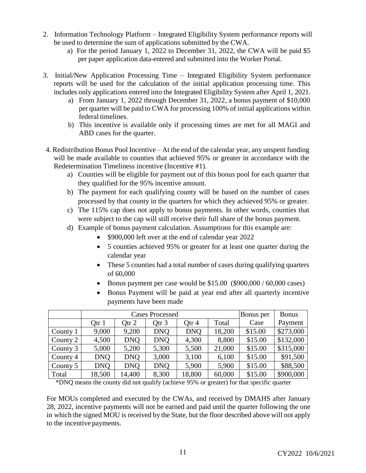- 2. Information Technology Platform Integrated Eligibility System performance reports will be used to determine the sum of applications submitted by the CWA.
	- a) For the period January 1, 2022 to December 31, 2022, the CWA will be paid \$5 per paper application data-entered and submitted into the Worker Portal.
- 3. Initial/New Application Processing Time Integrated Eligibility System performance reports will be used for the calculation of the initial application processing time. This includes only applications entered into the Integrated Eligibility System after April 1, 2021.
	- a) From January 1, 2022 through December 31, 2022, a bonus payment of \$10,000 per quarter will be paid to CWA for processing 100% of initial applications within federal timelines.
	- b) This incentive is available only if processing times are met for all MAGI and ABD cases for the quarter.
- 4. Redistribution Bonus Pool Incentive At the end of the calendar year, any unspent funding will be made available to counties that achieved 95% or greater in accordance with the Redetermination Timeliness incentive (Incentive #1).
	- a) Counties will be eligible for payment out of this bonus pool for each quarter that they qualified for the 95% incentive amount.
	- b) The payment for each qualifying county will be based on the number of cases processed by that county in the quarters for which they achieved 95% or greater.
	- c) The 115% cap does not apply to bonus payments. In other words, counties that were subject to the cap will still receive their full share of the bonus payment.
	- d) Example of bonus payment calculation. Assumptions for this example are:
		- \$900,000 left over at the end of calendar year 2022
		- 5 counties achieved 95% or greater for at least one quarter during the calendar year
		- These 5 counties had a total number of cases during qualifying quarters of 60,000
		- Bonus payment per case would be  $$15.00$  ( $$900,000 / 60,000$  cases)
		- Bonus Payment will be paid at year end after all quarterly incentive payments have been made

|          |            | <b>Cases Processed</b> | Bonus per  | <b>Bonus</b> |        |         |           |
|----------|------------|------------------------|------------|--------------|--------|---------|-----------|
|          | Otr 1      | Otr $2$                | Otr 3      | Otr 4        | Total  | Case    | Payment   |
| County 1 | 9,000      | 9,200                  | <b>DNO</b> | <b>DNO</b>   | 18,200 | \$15.00 | \$273,000 |
| County 2 | 4,500      | <b>DNO</b>             | <b>DNO</b> | 4,300        | 8,800  | \$15.00 | \$132,000 |
| County 3 | 5,000      | 5,200                  | 5,300      | 5,500        | 21,000 | \$15.00 | \$315,000 |
| County 4 | <b>DNO</b> | <b>DNO</b>             | 3,000      | 3,100        | 6,100  | \$15.00 | \$91,500  |
| County 5 | <b>DNO</b> | <b>DNO</b>             | <b>DNO</b> | 5,900        | 5,900  | \$15.00 | \$88,500  |
| Total    | 18,500     | 14,400                 | 8,300      | 18,800       | 60,000 | \$15.00 | \$900,000 |

\*DNQ means the county did not qualify (achieve 95% or greater) for that specific quarter

For MOUs completed and executed by the CWAs, and received by DMAHS after January 28, 2022, incentive payments will not be earned and paid until the quarter following the one in which the signed MOU is received by the State, but the floor described above will not apply to the incentive payments.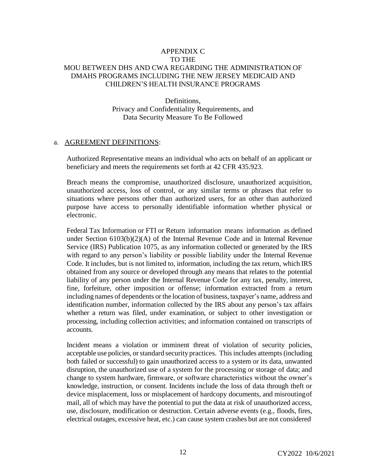## APPENDIX C TO THE MOU BETWEEN DHS AND CWA REGARDING THE ADMINISTRATION OF DMAHS PROGRAMS INCLUDING THE NEW JERSEY MEDICAID AND CHILDREN'S HEALTH INSURANCE PROGRAMS

Definitions, Privacy and Confidentiality Requirements, and Data Security Measure To Be Followed

#### a. AGREEMENT DEFINITIONS:

Authorized Representative means an individual who acts on behalf of an applicant or beneficiary and meets the requirements set forth at 42 CFR 435.923.

Breach means the compromise, unauthorized disclosure, unauthorized acquisition, unauthorized access, loss of control, or any similar terms or phrases that refer to situations where persons other than authorized users, for an other than authorized purpose have access to personally identifiable information whether physical or electronic.

Federal Tax Information or FTI or Return information means information as defined under Section 6103(b)(2)(A) of the Internal Revenue Code and in Internal Revenue Service (IRS) Publication 1075, as any information collected or generated by the IRS with regard to any person's liability or possible liability under the Internal Revenue Code. It includes, but is not limited to, information, including the tax return, which IRS obtained from any source or developed through any means that relates to the potential liability of any person under the Internal Revenue Code for any tax, penalty, interest, fine, forfeiture, other imposition or offense; information extracted from a return including names of dependents or the location of business, taxpayer's name, address and identification number, information collected by the IRS about any person's tax affairs whether a return was filed, under examination, or subject to other investigation or processing, including collection activities; and information contained on transcripts of accounts.

Incident means a violation or imminent threat of violation of security policies, acceptable use policies, or standard security practices. This includes attempts (including both failed or successful) to gain unauthorized access to a system or its data, unwanted disruption, the unauthorized use of a system for the processing or storage of data; and change to system hardware, firmware, or software characteristics without the owner's knowledge, instruction, or consent. Incidents include the loss of data through theft or device misplacement, loss or misplacement of hardcopy documents, and misroutingof mail, all of which may have the potential to put the data at risk of unauthorized access, use, disclosure, modification or destruction. Certain adverse events (e.g., floods, fires, electrical outages, excessive heat, etc.) can cause system crashes but are not considered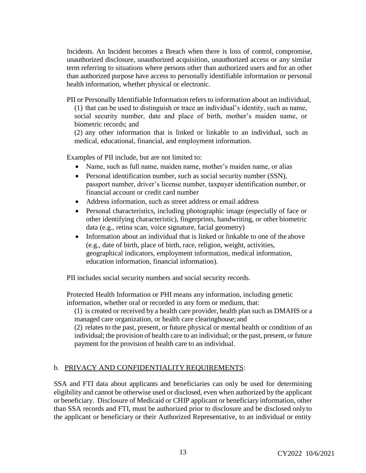Incidents. An Incident becomes a Breach when there is loss of control, compromise, unauthorized disclosure, unauthorized acquisition, unauthorized access or any similar term referring to situations where persons other than authorized users and for an other than authorized purpose have access to personally identifiable information or personal health information, whether physical or electronic.

PII or Personally Identifiable Information refers to information about an individual,

(1) that can be used to distinguish or trace an individual's identity, such as name, social security number, date and place of birth, mother's maiden name, or biometric records; and

(2) any other information that is linked or linkable to an individual, such as medical, educational, financial, and employment information.

Examples of PII include, but are not limited to:

- Name, such as full name, maiden name, mother's maiden name, or alias
- Personal identification number, such as social security number (SSN), passport number, driver's license number, taxpayer identification number, or financial account or credit card number
- Address information, such as street address or email address
- Personal characteristics, including photographic image (especially of face or other identifying characteristic), fingerprints, handwriting, or other biometric data (e.g., retina scan, voice signature, facial geometry)
- Information about an individual that is linked or linkable to one of the above (e.g., date of birth, place of birth, race, religion, weight, activities, geographical indicators, employment information, medical information, education information, financial information).

PII includes social security numbers and social security records.

Protected Health Information or PHI means any information, including genetic information, whether oral or recorded in any form or medium, that:

(1) is created or received by a health care provider, health plan such as DMAHS or a managed care organization, or health care clearinghouse;and

(2) relates to the past, present, or future physical or mental health or condition of an individual; the provision of health care to an individual; or the past, present, or future payment for the provision of health care to an individual.

## b. PRIVACY AND CONFIDENTIALITY REQUIREMENTS:

SSA and FTI data about applicants and beneficiaries can only be used for determining eligibility and cannot be otherwise used or disclosed, even when authorized by the applicant or beneficiary. Disclosure of Medicaid or CHIP applicant or beneficiary information, other than SSA records and FTI, must be authorized prior to disclosure and be disclosed onlyto the applicant or beneficiary or their Authorized Representative, to an individual or entity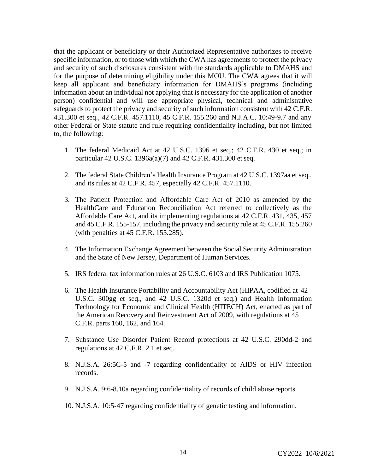that the applicant or beneficiary or their Authorized Representative authorizes to receive specific information, or to those with which the CWA has agreements to protect the privacy and security of such disclosures consistent with the standards applicable to DMAHS and for the purpose of determining eligibility under this MOU. The CWA agrees that it will keep all applicant and beneficiary information for DMAHS's programs (including information about an individual not applying that is necessary for the application of another person) confidential and will use appropriate physical, technical and administrative safeguards to protect the privacy and security of such information consistent with 42 C.F.R. 431.300 et seq., 42 C.F.R. 457.1110, 45 C.F.R. 155.260 and N.J.A.C. 10:49-9.7 and any other Federal or State statute and rule requiring confidentiality including, but not limited to, the following:

- 1. The federal Medicaid Act at 42 U.S.C. 1396 et seq.; 42 C.F.R. 430 et seq.; in particular 42 U.S.C. 1396a(a)(7) and 42 C.F.R. 431.300 et seq.
- 2. The federal State Children's Health Insurance Program at 42 U.S.C. 1397aa et seq., and its rules at 42 C.F.R. 457, especially 42 C.F.R. 457.1110.
- 3. The Patient Protection and Affordable Care Act of 2010 as amended by the HealthCare and Education Reconciliation Act referred to collectively as the Affordable Care Act, and its implementing regulations at 42 C.F.R. 431, 435, 457 and 45 C.F.R. 155-157, including the privacy and security rule at 45 C.F.R. 155.260 (with penalties at 45 C.F.R. 155.285).
- 4. The Information Exchange Agreement between the Social Security Administration and the State of New Jersey, Department of Human Services.
- 5. IRS federal tax information rules at 26 U.S.C. 6103 and IRS Publication 1075.
- 6. The Health Insurance Portability and Accountability Act (HIPAA, codified at 42 U.S.C. 300gg et seq., and 42 U.S.C. 1320d et seq.) and Health Information Technology for Economic and Clinical Health (HITECH) Act, enacted as part of the American Recovery and Reinvestment Act of 2009, with regulations at 45 C.F.R. parts 160, 162, and 164.
- 7. Substance Use Disorder Patient Record protections at 42 U.S.C. 290dd-2 and regulations at 42 C.F.R. 2.1 et seq.
- 8. N.J.S.A. 26:5C-5 and -7 regarding confidentiality of AIDS or HIV infection records.
- 9. N.J.S.A. 9:6-8.10a regarding confidentiality of records of child abuse reports.
- 10. N.J.S.A. 10:5-47 regarding confidentiality of genetic testing and information.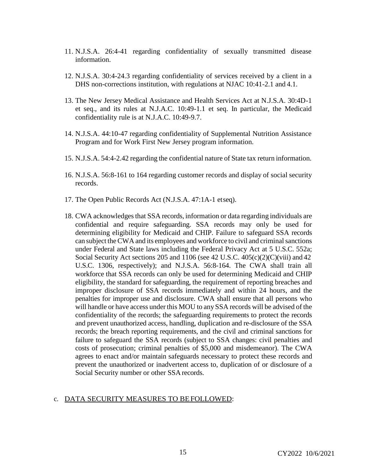- 11. N.J.S.A. 26:4-41 regarding confidentiality of sexually transmitted disease information.
- 12. N.J.S.A. 30:4-24.3 regarding confidentiality of services received by a client in a DHS non-corrections institution, with regulations at NJAC 10:41-2.1 and 4.1.
- 13. The New Jersey Medical Assistance and Health Services Act at N.J.S.A. 30:4D-1 et seq., and its rules at N.J.A.C. 10:49-1.1 et seq. In particular, the Medicaid confidentiality rule is at N.J.A.C. 10:49-9.7.
- 14. N.J.S.A. 44:10-47 regarding confidentiality of Supplemental Nutrition Assistance Program and for Work First New Jersey program information.
- 15. N.J.S.A. 54:4-2.42 regarding the confidential nature of State tax return information.
- 16. N.J.S.A. 56:8-161 to 164 regarding customer records and display of social security records.
- 17. The Open Public Records Act (N.J.S.A. 47:1A-1 etseq).
- 18. CWA acknowledges that SSA records, information or data regarding individuals are confidential and require safeguarding. SSA records may only be used for determining eligibility for Medicaid and CHIP. Failure to safeguard SSA records can subject the CWA and its employees and workforce to civil and criminal sanctions under Federal and State laws including the Federal Privacy Act at 5 U.S.C. 552a; Social Security Act sections 205 and 1106 (see 42 U.S.C.  $405(c)(2)(C)(viii)$  and 42 U.S.C. 1306, respectively); and N.J.S.A. 56:8-164. The CWA shall train all workforce that SSA records can only be used for determining Medicaid and CHIP eligibility, the standard for safeguarding, the requirement of reporting breaches and improper disclosure of SSA records immediately and within 24 hours, and the penalties for improper use and disclosure. CWA shall ensure that all persons who will handle or have access under this MOU to any SSA records will be advised of the confidentiality of the records; the safeguarding requirements to protect the records and prevent unauthorized access, handling, duplication and re-disclosure of the SSA records; the breach reporting requirements, and the civil and criminal sanctions for failure to safeguard the SSA records (subject to SSA changes: civil penalties and costs of prosecution; criminal penalties of \$5,000 and misdemeanor). The CWA agrees to enact and/or maintain safeguards necessary to protect these records and prevent the unauthorized or inadvertent access to, duplication of or disclosure of a Social Security number or other SSA records.

#### c. DATA SECURITY MEASURES TO BEFOLLOWED: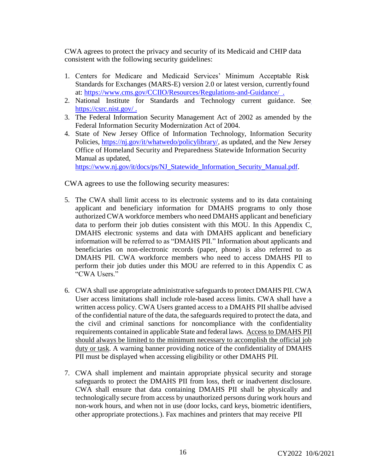CWA agrees to protect the privacy and security of its Medicaid and CHIP data consistent with the following security guidelines:

- 1. Centers for Medicare and Medicaid Services' Minimum Acceptable Risk Standards for Exchanges (MARS-E) version 2.0 or latest version, currentlyfound at: https:/[/www.cms.gov/CCIIO/Resources/Regulations-and-Guidance/](http://www.cms.gov/CCIIO/Resources/Regulations-and-Guidance/) .
- 2. National Institute for Standards and Technology current guidance. See <https://csrc.nist.gov/> .
- 3. The Federal Information Security Management Act of 2002 as amended by the Federal Information Security Modernization Act of 2004.
- 4. State of New Jersey Office of Information Technology, Information Security Policies, <https://nj.gov/it/whatwedo/policylibrary/>, as updated, and the New Jersey Office of Homeland Security and Preparedness Statewide Information Security Manual as updated,

https:/[/www.nj.gov/it/docs/ps/NJ\\_Statewide\\_Information\\_Security\\_Manual.pdf.](http://www.nj.gov/it/docs/ps/NJ_Statewide_Information_Security_Manual.pdf)

CWA agrees to use the following security measures:

- 5. The CWA shall limit access to its electronic systems and to its data containing applicant and beneficiary information for DMAHS programs to only those authorized CWA workforce members who need DMAHS applicant and beneficiary data to perform their job duties consistent with this MOU. In this Appendix C, DMAHS electronic systems and data with DMAHS applicant and beneficiary information will be referred to as "DMAHS PII." Information about applicants and beneficiaries on non-electronic records (paper, phone) is also referred to as DMAHS PII. CWA workforce members who need to access DMAHS PII to perform their job duties under this MOU are referred to in this Appendix C as "CWA Users."
- 6. CWA shall use appropriate administrative safeguards to protect DMAHS PII. CWA User access limitations shall include role-based access limits. CWA shall have a written access policy. CWA Users granted access to a DMAHS PII shallbe advised of the confidential nature of the data, the safeguards required to protect the data, and the civil and criminal sanctions for noncompliance with the confidentiality requirements contained in applicable State and federal laws. Access to DMAHS PII should always be limited to the minimum necessary to accomplish the official job duty or task. A warning banner providing notice of the confidentiality of DMAHS PII must be displayed when accessing eligibility or other DMAHS PII.
- 7. CWA shall implement and maintain appropriate physical security and storage safeguards to protect the DMAHS PII from loss, theft or inadvertent disclosure. CWA shall ensure that data containing DMAHS PII shall be physically and technologically secure from access by unauthorized persons during work hours and non-work hours, and when not in use (door locks, card keys, biometric identifiers, other appropriate protections.). Fax machines and printers that may receive PII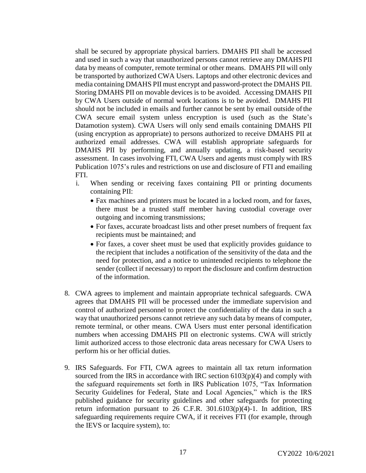shall be secured by appropriate physical barriers. DMAHS PII shall be accessed and used in such a way that unauthorized persons cannot retrieve any DMAHS PII data by means of computer, remote terminal or other means. DMAHS PII will only be transported by authorized CWA Users. Laptops and other electronic devices and media containing DMAHS PII must encrypt and password-protect the DMAHS PII. Storing DMAHS PII on movable devices is to be avoided. Accessing DMAHS PII by CWA Users outside of normal work locations is to be avoided. DMAHS PII should not be included in emails and further cannot be sent by email outside ofthe CWA secure email system unless encryption is used (such as the State's Datamotion system). CWA Users will only send emails containing DMAHS PII (using encryption as appropriate) to persons authorized to receive DMAHS PII at authorized email addresses. CWA will establish appropriate safeguards for DMAHS PII by performing, and annually updating, a risk-based security assessment. In cases involving FTI, CWA Users and agents must comply with IRS Publication 1075's rules and restrictions on use and disclosure of FTI and emailing FTI.

- i. When sending or receiving faxes containing PII or printing documents containing PII:
	- Fax machines and printers must be located in a locked room, and for faxes, there must be a trusted staff member having custodial coverage over outgoing and incoming transmissions;
	- For faxes, accurate broadcast lists and other preset numbers of frequent fax recipients must be maintained; and
	- For faxes, a cover sheet must be used that explicitly provides guidance to the recipient that includes a notification of the sensitivity of the data and the need for protection, and a notice to unintended recipients to telephone the sender (collect if necessary) to report the disclosure and confirm destruction of the information.
- 8. CWA agrees to implement and maintain appropriate technical safeguards. CWA agrees that DMAHS PII will be processed under the immediate supervision and control of authorized personnel to protect the confidentiality of the data in such a way that unauthorized persons cannot retrieve any such data by means of computer, remote terminal, or other means. CWA Users must enter personal identification numbers when accessing DMAHS PII on electronic systems. CWA will strictly limit authorized access to those electronic data areas necessary for CWA Users to perform his or her official duties.
- 9. IRS Safeguards. For FTI, CWA agrees to maintain all tax return information sourced from the IRS in accordance with IRC section  $6103(p)(4)$  and comply with the safeguard requirements set forth in IRS Publication 1075, "Tax Information Security Guidelines for Federal, State and Local Agencies," which is the IRS published guidance for security guidelines and other safeguards for protecting return information pursuant to 26 C.F.R.  $301.6103(p)(4)-1$ . In addition, IRS safeguarding requirements require CWA, if it receives FTI (for example, through the IEVS or Iacquire system), to: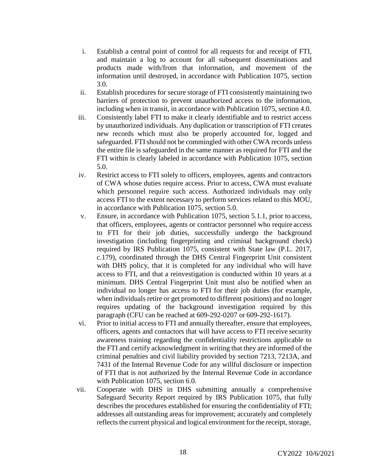- i. Establish a central point of control for all requests for and receipt of FTI, and maintain a log to account for all subsequent disseminations and products made with/from that information, and movement of the information until destroyed, in accordance with Publication 1075, section 3.0.
- ii. Establish procedures for secure storage of FTI consistently maintaining two barriers of protection to prevent unauthorized access to the information, including when in transit, in accordance with Publication 1075, section 4.0.
- iii. Consistently label FTI to make it clearly identifiable and to restrict access by unauthorized individuals. Any duplication or transcription of FTI creates new records which must also be properly accounted for, logged and safeguarded. FTI should not be commingled with other CWA records unless the entire file is safeguarded in the same manner as required for FTI and the FTI within is clearly labeled in accordance with Publication 1075, section 5.0.
- iv. Restrict access to FTI solely to officers, employees, agents and contractors of CWA whose duties require access. Prior to access, CWA must evaluate which personnel require such access. Authorized individuals may only access FTI to the extent necessary to perform services related to this MOU, in accordance with Publication 1075, section 5.0.
- v. Ensure, in accordance with Publication 1075, section 5.1.1, prior to access, that officers, employees, agents or contractor personnel who require access to FTI for their job duties, successfully undergo the background investigation (including fingerprinting and criminal background check) required by IRS Publication 1075, consistent with State law (P.L. 2017, c.179), coordinated through the DHS Central Fingerprint Unit consistent with DHS policy, that it is completed for any individual who will have access to FTI, and that a reinvestigation is conducted within 10 years at a minimum. DHS Central Fingerprint Unit must also be notified when an individual no longer has access to FTI for their job duties (for example, when individuals retire or get promoted to different positions) and no longer requires updating of the background investigation required by this paragraph (CFU can be reached at 609-292-0207 or 609-292-1617).
- vi. Prior to initial access to FTI and annually thereafter, ensure that employees, officers, agents and contactors that will have access to FTI receive security awareness training regarding the confidentiality restrictions applicable to the FTI and certify acknowledgment in writing that they are informed of the criminal penalties and civil liability provided by section 7213, 7213A, and 7431 of the Internal Revenue Code for any willful disclosure or inspection of FTI that is not authorized by the Internal Revenue Code in accordance with Publication 1075, section 6.0.
- vii. Cooperate with DHS in DHS submitting annually a comprehensive Safeguard Security Report required by IRS Publication 1075, that fully describes the procedures established for ensuring the confidentiality of FTI; addresses all outstanding areas for improvement; accurately and completely reflects the current physical and logical environment for the receipt, storage,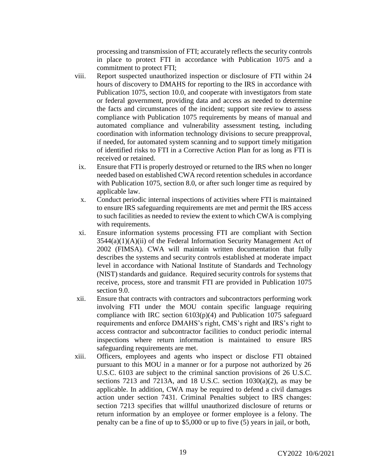processing and transmission of FTI; accurately reflects the security controls in place to protect FTI in accordance with Publication 1075 and a commitment to protect FTI;

- viii. Report suspected unauthorized inspection or disclosure of FTI within 24 hours of discovery to DMAHS for reporting to the IRS in accordance with Publication 1075, section 10.0, and cooperate with investigators from state or federal government, providing data and access as needed to determine the facts and circumstances of the incident; support site review to assess compliance with Publication 1075 requirements by means of manual and automated compliance and vulnerability assessment testing, including coordination with information technology divisions to secure preapproval, if needed, for automated system scanning and to support timely mitigation of identified risks to FTI in a Corrective Action Plan for as long as FTI is received or retained.
	- ix. Ensure that FTI is properly destroyed or returned to the IRS when no longer needed based on established CWA record retention schedules in accordance with Publication 1075, section 8.0, or after such longer time as required by applicable law.
	- x. Conduct periodic internal inspections of activities where FTI is maintained to ensure IRS safeguarding requirements are met and permit the IRS access to such facilities as needed to review the extent to which CWA is complying with requirements.
	- xi. Ensure information systems processing FTI are compliant with Section  $3544(a)(1)(A)(ii)$  of the Federal Information Security Management Act of 2002 (FIMSA). CWA will maintain written documentation that fully describes the systems and security controls established at moderate impact level in accordance with National Institute of Standards and Technology (NIST) standards and guidance. Required security controls for systems that receive, process, store and transmit FTI are provided in Publication 1075 section 9.0.
- xii. Ensure that contracts with contractors and subcontractors performing work involving FTI under the MOU contain specific language requiring compliance with IRC section  $6103(p)(4)$  and Publication 1075 safeguard requirements and enforce DMAHS's right, CMS's right and IRS's right to access contractor and subcontractor facilities to conduct periodic internal inspections where return information is maintained to ensure IRS safeguarding requirements are met.
- xiii. Officers, employees and agents who inspect or disclose FTI obtained pursuant to this MOU in a manner or for a purpose not authorized by 26 U.S.C. 6103 are subject to the criminal sanction provisions of 26 U.S.C. sections 7213 and 7213A, and 18 U.S.C. section  $1030(a)(2)$ , as may be applicable. In addition, CWA may be required to defend a civil damages action under section 7431. Criminal Penalties subject to IRS changes: section 7213 specifies that willful unauthorized disclosure of returns or return information by an employee or former employee is a felony. The penalty can be a fine of up to \$5,000 or up to five (5) years in jail, or both,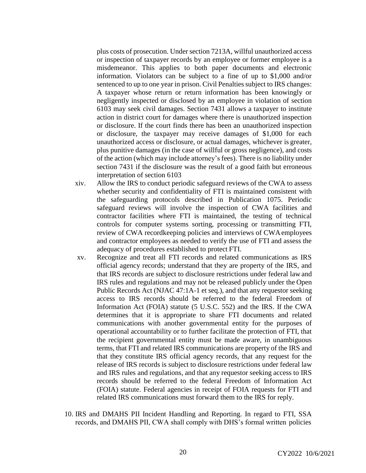plus costs of prosecution. Under section 7213A, willful unauthorized access or inspection of taxpayer records by an employee or former employee is a misdemeanor. This applies to both paper documents and electronic information. Violators can be subject to a fine of up to \$1,000 and/or sentenced to up to one year in prison. Civil Penalties subject to IRS changes: A taxpayer whose return or return information has been knowingly or negligently inspected or disclosed by an employee in violation of section 6103 may seek civil damages. Section 7431 allows a taxpayer to institute action in district court for damages where there is unauthorized inspection or disclosure. If the court finds there has been an unauthorized inspection or disclosure, the taxpayer may receive damages of \$1,000 for each unauthorized access or disclosure, or actual damages, whichever is greater, plus punitive damages (in the case of willful or gross negligence), and costs of the action (which may include attorney's fees). There is no liability under section 7431 if the disclosure was the result of a good faith but erroneous interpretation of section 6103

- xiv. Allow the IRS to conduct periodic safeguard reviews of the CWA to assess whether security and confidentiality of FTI is maintained consistent with the safeguarding protocols described in Publication 1075. Periodic safeguard reviews will involve the inspection of CWA facilities and contractor facilities where FTI is maintained, the testing of technical controls for computer systems sorting, processing or transmitting FTI, review of CWA recordkeeping policies and interviews of CWAemployees and contractor employees as needed to verify the use of FTI and assess the adequacy of procedures established to protect FTI.
- xv. Recognize and treat all FTI records and related communications as IRS official agency records; understand that they are property of the IRS, and that IRS records are subject to disclosure restrictions under federal law and IRS rules and regulations and may not be released publicly under the Open Public Records Act (NJAC 47:1A-1 et seq.), and that any requestor seeking access to IRS records should be referred to the federal Freedom of Information Act (FOIA) statute (5 U.S.C. 552) and the IRS. If the CWA determines that it is appropriate to share FTI documents and related communications with another governmental entity for the purposes of operational accountability or to further facilitate the protection of FTI, that the recipient governmental entity must be made aware, in unambiguous terms, that FTI and related IRS communications are property of the IRS and that they constitute IRS official agency records, that any request for the release of IRS records is subject to disclosure restrictions under federal law and IRS rules and regulations, and that any requestor seeking access to IRS records should be referred to the federal Freedom of Information Act (FOIA) statute. Federal agencies in receipt of FOIA requests for FTI and related IRS communications must forward them to the IRS for reply.
- 10. IRS and DMAHS PII Incident Handling and Reporting. In regard to FTI, SSA records, and DMAHS PII, CWA shall comply with DHS's formal written policies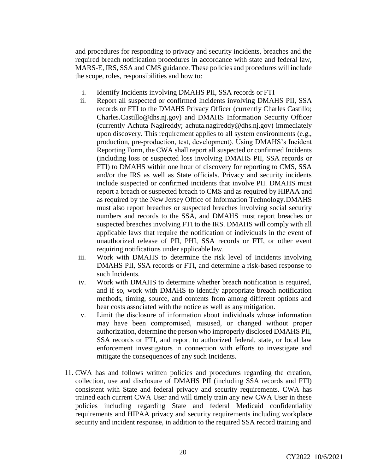and procedures for responding to privacy and security incidents, breaches and the required breach notification procedures in accordance with state and federal law, MARS-E, IRS, SSA and CMS guidance. These policies and procedures will include the scope, roles, responsibilities and how to:

- i. Identify Incidents involving DMAHS PII, SSA records or FTI
- ii. Report all suspected or confirmed Incidents involving DMAHS PII, SSA records or FTI to the DMAHS Privacy Officer (currently Charles Castillo; Charles.Castillo@dhs.nj.gov) and DMAHS Information Security Officer (currently Achuta Nagireddy; achuta.nagireddy@dhs.nj.gov) immediately upon discovery. This requirement applies to all system environments (e.g., production, pre-production, test, development). Using DMAHS's Incident Reporting Form, the CWA shall report all suspected or confirmed Incidents (including loss or suspected loss involving DMAHS PII, SSA records or FTI) to DMAHS within one hour of discovery for reporting to CMS, SSA and/or the IRS as well as State officials. Privacy and security incidents include suspected or confirmed incidents that involve PII. DMAHS must report a breach or suspected breach to CMS and as required by HIPAA and as required by the New Jersey Office of Information Technology.DMAHS must also report breaches or suspected breaches involving social security numbers and records to the SSA, and DMAHS must report breaches or suspected breaches involving FTI to the IRS. DMAHS will comply with all applicable laws that require the notification of individuals in the event of unauthorized release of PII, PHI, SSA records or FTI, or other event requiring notifications under applicable law.
- iii. Work with DMAHS to determine the risk level of Incidents involving DMAHS PII, SSA records or FTI, and determine a risk-based response to such Incidents.
- iv. Work with DMAHS to determine whether breach notification is required, and if so, work with DMAHS to identify appropriate breach notification methods, timing, source, and contents from among different options and bear costs associated with the notice as well as any mitigation.
- v. Limit the disclosure of information about individuals whose information may have been compromised, misused, or changed without proper authorization, determine the person who improperly disclosed DMAHS PII, SSA records or FTI, and report to authorized federal, state, or local law enforcement investigators in connection with efforts to investigate and mitigate the consequences of any such Incidents.
- 11. CWA has and follows written policies and procedures regarding the creation, collection, use and disclosure of DMAHS PII (including SSA records and FTI) consistent with State and federal privacy and security requirements. CWA has trained each current CWA User and will timely train any new CWA User in these policies including regarding State and federal Medicaid confidentiality requirements and HIPAA privacy and security requirements including workplace security and incident response, in addition to the required SSA record training and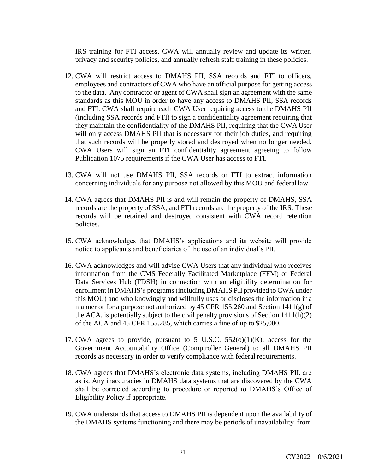IRS training for FTI access. CWA will annually review and update its written privacy and security policies, and annually refresh staff training in these policies.

- 12. CWA will restrict access to DMAHS PII, SSA records and FTI to officers, employees and contractors of CWA who have an official purpose for getting access to the data. Any contractor or agent of CWA shall sign an agreement with the same standards as this MOU in order to have any access to DMAHS PII, SSA records and FTI. CWA shall require each CWA User requiring access to the DMAHS PII (including SSA records and FTI) to sign a confidentiality agreement requiring that they maintain the confidentiality of the DMAHS PII, requiring that the CWA User will only access DMAHS PII that is necessary for their job duties, and requiring that such records will be properly stored and destroyed when no longer needed. CWA Users will sign an FTI confidentiality agreement agreeing to follow Publication 1075 requirements if the CWA User has access to FTI.
- 13. CWA will not use DMAHS PII, SSA records or FTI to extract information concerning individuals for any purpose not allowed by this MOU and federal law.
- 14. CWA agrees that DMAHS PII is and will remain the property of DMAHS, SSA records are the property of SSA, and FTI records are the property of the IRS. These records will be retained and destroyed consistent with CWA record retention policies.
- 15. CWA acknowledges that DMAHS's applications and its website will provide notice to applicants and beneficiaries of the use of an individual's PII.
- 16. CWA acknowledges and will advise CWA Users that any individual who receives information from the CMS Federally Facilitated Marketplace (FFM) or Federal Data Services Hub (FDSH) in connection with an eligibility determination for enrollment in DMAHS's programs (including DMAHS PII provided to CWA under this MOU) and who knowingly and willfully uses or discloses the information in a manner or for a purpose not authorized by 45 CFR 155.260 and Section 1411(g) of the ACA, is potentially subject to the civil penalty provisions of Section 1411(h)(2) of the ACA and 45 CFR 155.285, which carries a fine of up to \$25,000.
- 17. CWA agrees to provide, pursuant to 5 U.S.C.  $552(0)(1)(K)$ , access for the Government Accountability Office (Comptroller General) to all DMAHS PII records as necessary in order to verify compliance with federal requirements.
- 18. CWA agrees that DMAHS's electronic data systems, including DMAHS PII, are as is. Any inaccuracies in DMAHS data systems that are discovered by the CWA shall be corrected according to procedure or reported to DMAHS's Office of Eligibility Policy if appropriate.
- 19. CWA understands that access to DMAHS PII is dependent upon the availability of the DMAHS systems functioning and there may be periods of unavailability from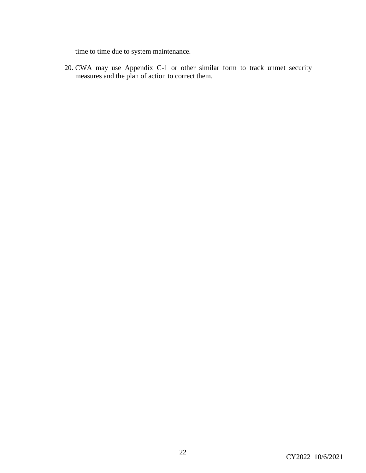time to time due to system maintenance.

20. CWA may use Appendix C-1 or other similar form to track unmet security measures and the plan of action to correct them.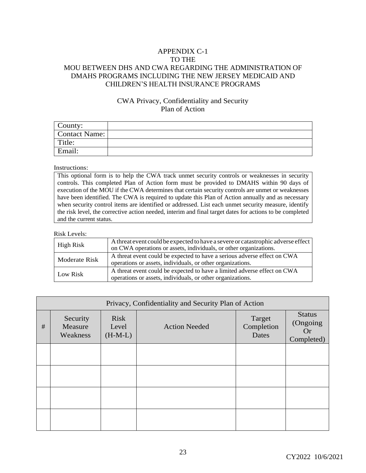## APPENDIX C-1 TO THE MOU BETWEEN DHS AND CWA REGARDING THE ADMINISTRATION OF DMAHS PROGRAMS INCLUDING THE NEW JERSEY MEDICAID AND CHILDREN'S HEALTH INSURANCE PROGRAMS

## CWA Privacy, Confidentiality and Security Plan of Action

| County:       |  |
|---------------|--|
| Contact Name: |  |
| Title:        |  |
| Email:        |  |

#### Instructions:

This optional form is to help the CWA track unmet security controls or weaknesses in security controls. This completed Plan of Action form must be provided to DMAHS within 90 days of execution of the MOU if the CWA determines that certain security controls are unmet or weaknesses have been identified. The CWA is required to update this Plan of Action annually and as necessary when security control items are identified or addressed. List each unmet security measure, identify the risk level, the corrective action needed, interim and final target dates for actions to be completed and the current status.

#### Risk Levels:

| High Risk     | A threat event could be expected to have a severe or catastrophic adverse effect<br>on CWA operations or assets, individuals, or other organizations. |
|---------------|-------------------------------------------------------------------------------------------------------------------------------------------------------|
| Moderate Risk | A threat event could be expected to have a serious adverse effect on CWA<br>operations or assets, individuals, or other organizations.                |
| Low Risk      | A threat event could be expected to have a limited adverse effect on CWA<br>operations or assets, individuals, or other organizations.                |

| Privacy, Confidentiality and Security Plan of Action |                                 |                                   |                      |                               |                                                      |  |  |
|------------------------------------------------------|---------------------------------|-----------------------------------|----------------------|-------------------------------|------------------------------------------------------|--|--|
| $\#$                                                 | Security<br>Measure<br>Weakness | <b>Risk</b><br>Level<br>$(H-M-L)$ | <b>Action Needed</b> | Target<br>Completion<br>Dates | <b>Status</b><br>(Ongoing<br><b>Or</b><br>Completed) |  |  |
|                                                      |                                 |                                   |                      |                               |                                                      |  |  |
|                                                      |                                 |                                   |                      |                               |                                                      |  |  |
|                                                      |                                 |                                   |                      |                               |                                                      |  |  |
|                                                      |                                 |                                   |                      |                               |                                                      |  |  |